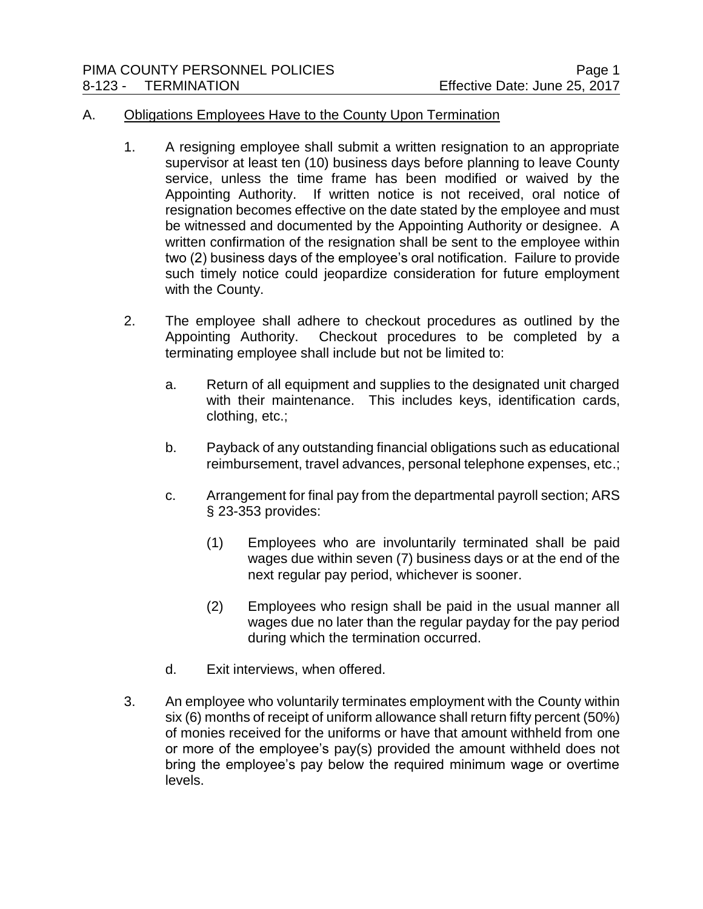## A. Obligations Employees Have to the County Upon Termination

- 1. A resigning employee shall submit a written resignation to an appropriate supervisor at least ten (10) business days before planning to leave County service, unless the time frame has been modified or waived by the Appointing Authority. If written notice is not received, oral notice of resignation becomes effective on the date stated by the employee and must be witnessed and documented by the Appointing Authority or designee. A written confirmation of the resignation shall be sent to the employee within two (2) business days of the employee's oral notification. Failure to provide such timely notice could jeopardize consideration for future employment with the County.
- 2. The employee shall adhere to checkout procedures as outlined by the Appointing Authority. Checkout procedures to be completed by a terminating employee shall include but not be limited to:
	- a. Return of all equipment and supplies to the designated unit charged with their maintenance. This includes keys, identification cards, clothing, etc.;
	- b. Payback of any outstanding financial obligations such as educational reimbursement, travel advances, personal telephone expenses, etc.;
	- c. Arrangement for final pay from the departmental payroll section; ARS § 23-353 provides:
		- (1) Employees who are involuntarily terminated shall be paid wages due within seven (7) business days or at the end of the next regular pay period, whichever is sooner.
		- (2) Employees who resign shall be paid in the usual manner all wages due no later than the regular payday for the pay period during which the termination occurred.
	- d. Exit interviews, when offered.
- 3. An employee who voluntarily terminates employment with the County within six (6) months of receipt of uniform allowance shall return fifty percent (50%) of monies received for the uniforms or have that amount withheld from one or more of the employee's pay(s) provided the amount withheld does not bring the employee's pay below the required minimum wage or overtime levels.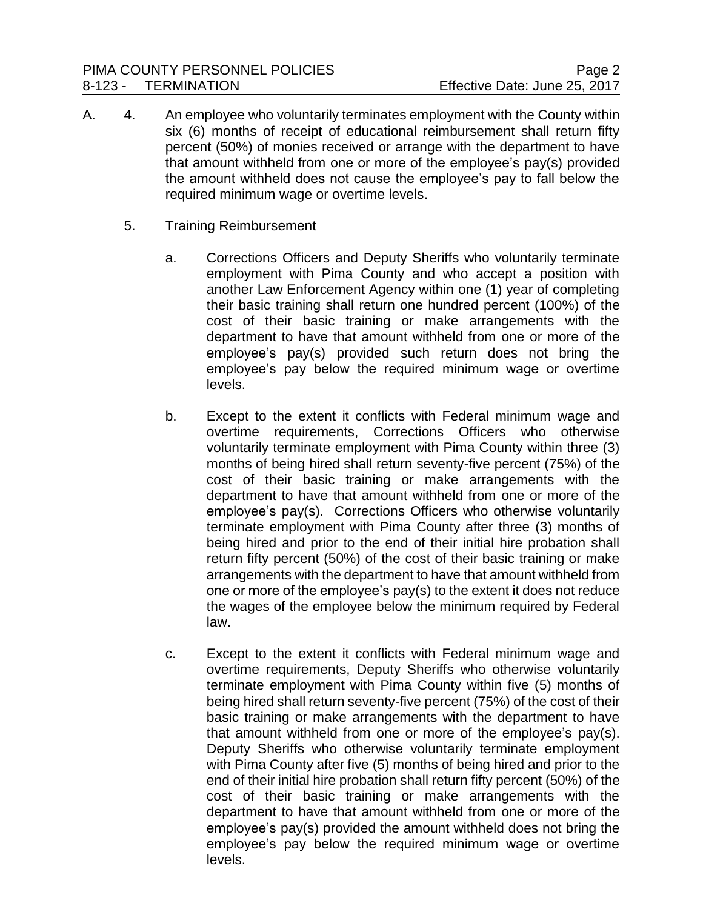- A. 4. An employee who voluntarily terminates employment with the County within six (6) months of receipt of educational reimbursement shall return fifty percent (50%) of monies received or arrange with the department to have that amount withheld from one or more of the employee's pay(s) provided the amount withheld does not cause the employee's pay to fall below the required minimum wage or overtime levels.
	- 5. Training Reimbursement
		- a. Corrections Officers and Deputy Sheriffs who voluntarily terminate employment with Pima County and who accept a position with another Law Enforcement Agency within one (1) year of completing their basic training shall return one hundred percent (100%) of the cost of their basic training or make arrangements with the department to have that amount withheld from one or more of the employee's pay(s) provided such return does not bring the employee's pay below the required minimum wage or overtime levels.
		- b. Except to the extent it conflicts with Federal minimum wage and overtime requirements, Corrections Officers who otherwise voluntarily terminate employment with Pima County within three (3) months of being hired shall return seventy-five percent (75%) of the cost of their basic training or make arrangements with the department to have that amount withheld from one or more of the employee's pay(s). Corrections Officers who otherwise voluntarily terminate employment with Pima County after three (3) months of being hired and prior to the end of their initial hire probation shall return fifty percent (50%) of the cost of their basic training or make arrangements with the department to have that amount withheld from one or more of the employee's pay(s) to the extent it does not reduce the wages of the employee below the minimum required by Federal law.
		- c. Except to the extent it conflicts with Federal minimum wage and overtime requirements, Deputy Sheriffs who otherwise voluntarily terminate employment with Pima County within five (5) months of being hired shall return seventy-five percent (75%) of the cost of their basic training or make arrangements with the department to have that amount withheld from one or more of the employee's pay(s). Deputy Sheriffs who otherwise voluntarily terminate employment with Pima County after five (5) months of being hired and prior to the end of their initial hire probation shall return fifty percent (50%) of the cost of their basic training or make arrangements with the department to have that amount withheld from one or more of the employee's pay(s) provided the amount withheld does not bring the employee's pay below the required minimum wage or overtime levels.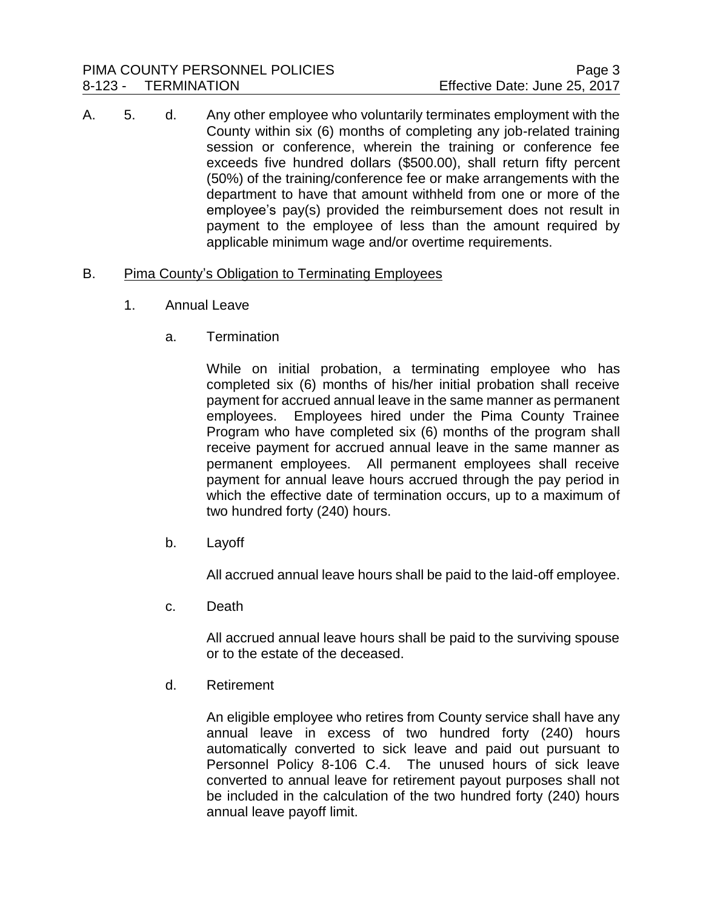A. 5. d. Any other employee who voluntarily terminates employment with the County within six (6) months of completing any job-related training session or conference, wherein the training or conference fee exceeds five hundred dollars (\$500.00), shall return fifty percent (50%) of the training/conference fee or make arrangements with the department to have that amount withheld from one or more of the employee's pay(s) provided the reimbursement does not result in payment to the employee of less than the amount required by applicable minimum wage and/or overtime requirements.

## B. Pima County's Obligation to Terminating Employees

- 1. Annual Leave
	- a. Termination

While on initial probation, a terminating employee who has completed six (6) months of his/her initial probation shall receive payment for accrued annual leave in the same manner as permanent employees. Employees hired under the Pima County Trainee Program who have completed six (6) months of the program shall receive payment for accrued annual leave in the same manner as permanent employees. All permanent employees shall receive payment for annual leave hours accrued through the pay period in which the effective date of termination occurs, up to a maximum of two hundred forty (240) hours.

b. Layoff

All accrued annual leave hours shall be paid to the laid-off employee.

c. Death

All accrued annual leave hours shall be paid to the surviving spouse or to the estate of the deceased.

d. Retirement

An eligible employee who retires from County service shall have any annual leave in excess of two hundred forty (240) hours automatically converted to sick leave and paid out pursuant to Personnel Policy 8-106 C.4. The unused hours of sick leave converted to annual leave for retirement payout purposes shall not be included in the calculation of the two hundred forty (240) hours annual leave payoff limit.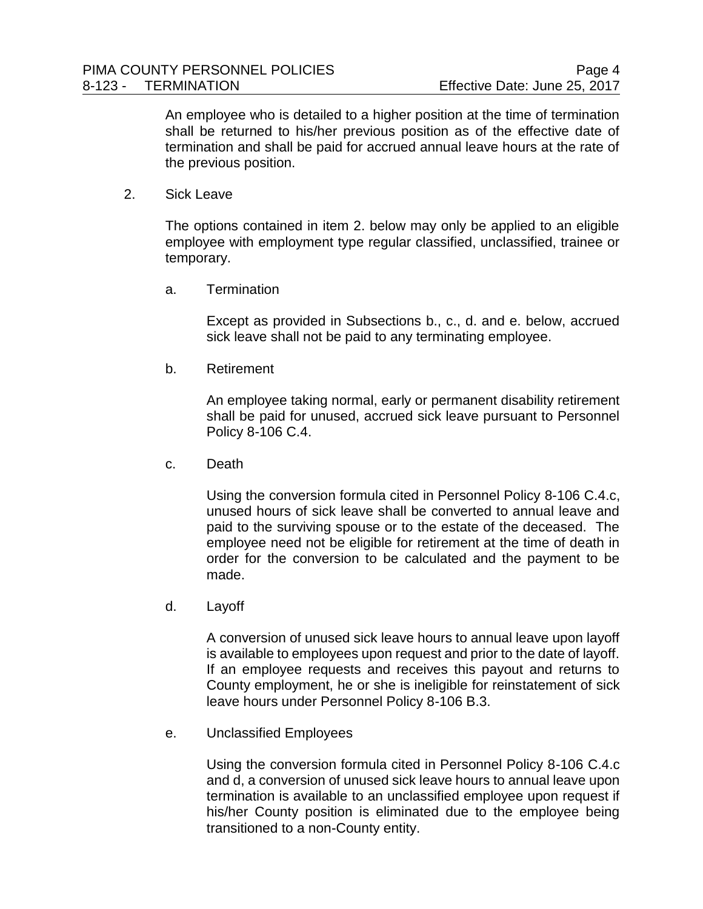An employee who is detailed to a higher position at the time of termination shall be returned to his/her previous position as of the effective date of termination and shall be paid for accrued annual leave hours at the rate of the previous position.

2. Sick Leave

The options contained in item 2. below may only be applied to an eligible employee with employment type regular classified, unclassified, trainee or temporary.

a. Termination

Except as provided in Subsections b., c., d. and e. below, accrued sick leave shall not be paid to any terminating employee.

b. Retirement

An employee taking normal, early or permanent disability retirement shall be paid for unused, accrued sick leave pursuant to Personnel Policy 8-106 C.4.

c. Death

Using the conversion formula cited in Personnel Policy 8-106 C.4.c, unused hours of sick leave shall be converted to annual leave and paid to the surviving spouse or to the estate of the deceased. The employee need not be eligible for retirement at the time of death in order for the conversion to be calculated and the payment to be made.

d. Layoff

A conversion of unused sick leave hours to annual leave upon layoff is available to employees upon request and prior to the date of layoff. If an employee requests and receives this payout and returns to County employment, he or she is ineligible for reinstatement of sick leave hours under Personnel Policy 8-106 B.3.

e. Unclassified Employees

Using the conversion formula cited in Personnel Policy 8-106 C.4.c and d, a conversion of unused sick leave hours to annual leave upon termination is available to an unclassified employee upon request if his/her County position is eliminated due to the employee being transitioned to a non-County entity.